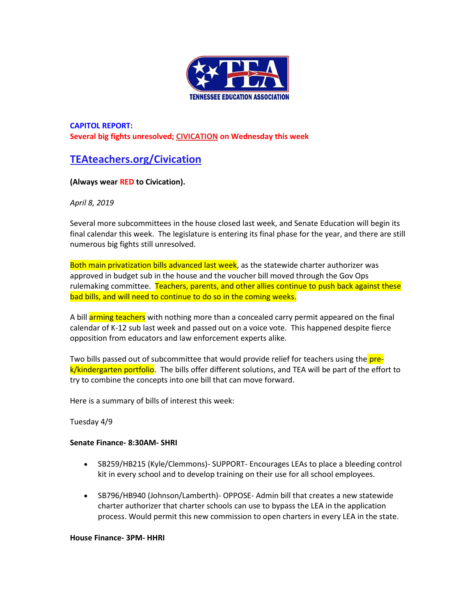

**CAPITOL REPORT: Several big fights unresolved[; CIVICATION](http://teateachers.org/Civication) on Wednesday this week**

# **[TEAteachers.org/Civication](http://teateachers.org/Civication)**

## **(Always wear RED to Civication).**

## *April 8, 2019*

Several more subcommittees in the house closed last week, and Senate Education will begin its final calendar this week. The legislature is entering its final phase for the year, and there are still numerous big fights still unresolved.

Both main privatization bills advanced last week, as the statewide charter authorizer was approved in budget sub in the house and the voucher bill moved through the Gov Ops rulemaking committee. Teachers, parents, and other allies continue to push back against these bad bills, and will need to continue to do so in the coming weeks.

A bill **arming teachers** with nothing more than a concealed carry permit appeared on the final calendar of K-12 sub last week and passed out on a voice vote. This happened despite fierce opposition from educators and law enforcement experts alike.

Two bills passed out of subcommittee that would provide relief for teachers using the **pre**k/kindergarten portfolio. The bills offer different solutions, and TEA will be part of the effort to try to combine the concepts into one bill that can move forward.

Here is a summary of bills of interest this week:

## Tuesday 4/9

## **Senate Finance- 8:30AM- SHRI**

- SB259/HB215 (Kyle/Clemmons)- SUPPORT- Encourages LEAs to place a bleeding control kit in every school and to develop training on their use for all school employees.
- SB796/HB940 (Johnson/Lamberth)- OPPOSE- Admin bill that creates a new statewide charter authorizer that charter schools can use to bypass the LEA in the application process. Would permit this new commission to open charters in every LEA in the state.

#### **House Finance- 3PM- HHRI**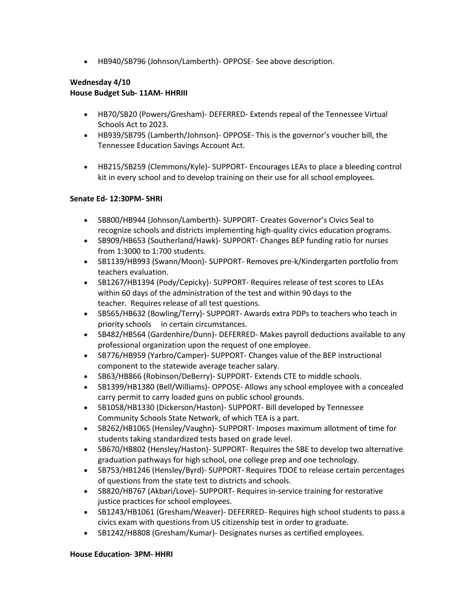• HB940/SB796 (Johnson/Lamberth)- OPPOSE- See above description.

## **Wednesday 4/10 House Budget Sub- 11AM- HHRIII**

- HB70/SB20 (Powers/Gresham)- DEFERRED- Extends repeal of the Tennessee Virtual Schools Act to 2023.
- HB939/SB795 (Lamberth/Johnson)- OPPOSE- This is the governor's voucher bill, the Tennessee Education Savings Account Act.
- HB215/SB259 (Clemmons/Kyle)- SUPPORT- Encourages LEAs to place a bleeding control kit in every school and to develop training on their use for all school employees.

## **Senate Ed- 12:30PM- SHRI**

- SB800/HB944 (Johnson/Lamberth)- SUPPORT- Creates Governor's Civics Seal to recognize schools and districts implementing high-quality civics education programs.
- SB909/HB653 (Southerland/Hawk)- SUPPORT- Changes BEP funding ratio for nurses from 1:3000 to 1:700 students.
- SB1139/HB993 (Swann/Moon)- SUPPORT- Removes pre-k/Kindergarten portfolio from teachers evaluation.
- SB1267/HB1394 (Pody/Cepicky)- SUPPORT- Requires release of test scores to LEAs within 60 days of the administration of the test and within 90 days to the teacher. Requires release of all test questions.
- SB565/HB632 (Bowling/Terry)- SUPPORT- Awards extra PDPs to teachers who teach in priority schools in certain circumstances.
- SB482/HB564 (Gardenhire/Dunn)- DEFERRED- Makes payroll deductions available to any professional organization upon the request of one employee.
- SB776/HB959 (Yarbro/Camper)- SUPPORT- Changes value of the BEP instructional component to the statewide average teacher salary.
- SB63/HB866 (Robinson/DeBerry)- SUPPORT- Extends CTE to middle schools.
- SB1399/HB1380 (Bell/Williams)- OPPOSE- Allows any school employee with a concealed carry permit to carry loaded guns on public school grounds.
- SB1058/HB1330 (Dickerson/Haston)- SUPPORT- Bill developed by Tennessee Community Schools State Network, of which TEA is a part.
- SB262/HB1065 (Hensley/Vaughn)- SUPPORT- Imposes maximum allotment of time for students taking standardized tests based on grade level.
- SB670/HB802 (Hensley/Haston)- SUPPORT- Requires the SBE to develop two alternative graduation pathways for high school, one college prep and one technology.
- SB753/HB1246 (Hensley/Byrd)- SUPPORT- Requires TDOE to release certain percentages of questions from the state test to districts and schools.
- SB820/HB767 (Akbari/Love)- SUPPORT- Requires in-service training for restorative justice practices for school employees.
- SB1243/HB1061 (Gresham/Weaver)- DEFERRED- Requires high school students to pass a civics exam with questions from US citizenship test in order to graduate.
- SB1242/HB808 (Gresham/Kumar)- Designates nurses as certified employees.

## **House Education- 3PM- HHRI**